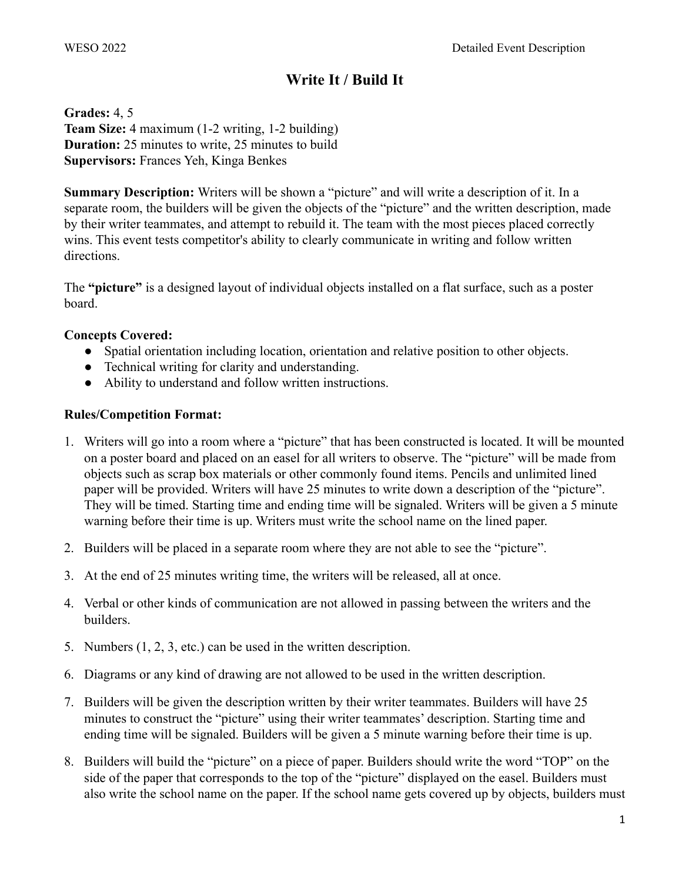# **Write It / Build It**

**Grades:** 4, 5 **Team Size:** 4 maximum (1-2 writing, 1-2 building) **Duration:** 25 minutes to write, 25 minutes to build **Supervisors:** Frances Yeh, Kinga Benkes

**Summary Description:** Writers will be shown a "picture" and will write a description of it. In a separate room, the builders will be given the objects of the "picture" and the written description, made by their writer teammates, and attempt to rebuild it. The team with the most pieces placed correctly wins. This event tests competitor's ability to clearly communicate in writing and follow written directions.

The **"picture"** is a designed layout of individual objects installed on a flat surface, such as a poster board.

#### **Concepts Covered:**

- Spatial orientation including location, orientation and relative position to other objects.
- Technical writing for clarity and understanding.
- Ability to understand and follow written instructions.

### **Rules/Competition Format:**

- 1. Writers will go into a room where a "picture" that has been constructed is located. It will be mounted on a poster board and placed on an easel for all writers to observe. The "picture" will be made from objects such as scrap box materials or other commonly found items. Pencils and unlimited lined paper will be provided. Writers will have 25 minutes to write down a description of the "picture". They will be timed. Starting time and ending time will be signaled. Writers will be given a 5 minute warning before their time is up. Writers must write the school name on the lined paper.
- 2. Builders will be placed in a separate room where they are not able to see the "picture".
- 3. At the end of 25 minutes writing time, the writers will be released, all at once.
- 4. Verbal or other kinds of communication are not allowed in passing between the writers and the builders.
- 5. Numbers (1, 2, 3, etc.) can be used in the written description.
- 6. Diagrams or any kind of drawing are not allowed to be used in the written description.
- 7. Builders will be given the description written by their writer teammates. Builders will have 25 minutes to construct the "picture" using their writer teammates' description. Starting time and ending time will be signaled. Builders will be given a 5 minute warning before their time is up.
- 8. Builders will build the "picture" on a piece of paper. Builders should write the word "TOP" on the side of the paper that corresponds to the top of the "picture" displayed on the easel. Builders must also write the school name on the paper. If the school name gets covered up by objects, builders must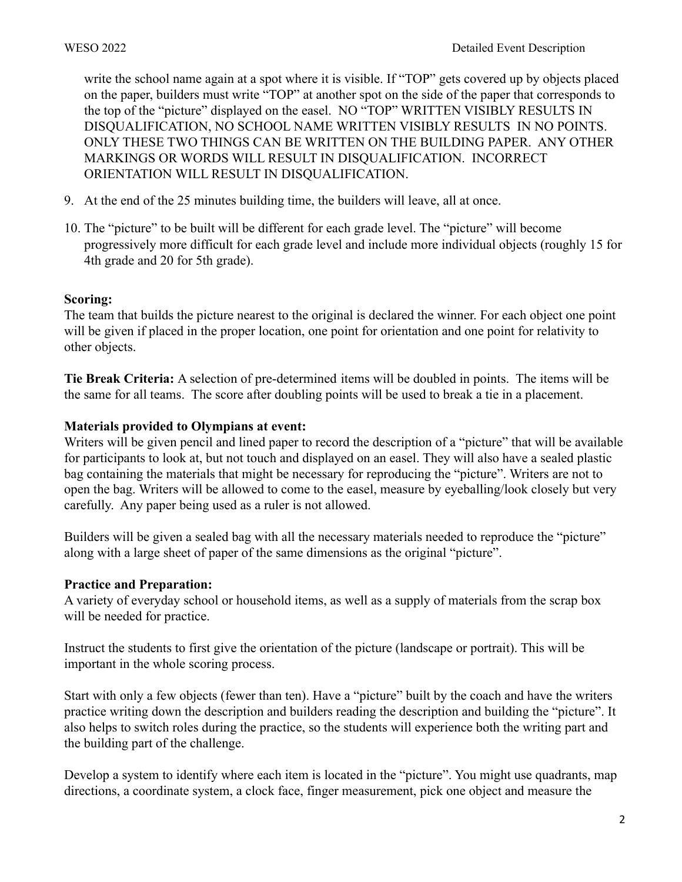write the school name again at a spot where it is visible. If "TOP" gets covered up by objects placed on the paper, builders must write "TOP" at another spot on the side of the paper that corresponds to the top of the "picture" displayed on the easel. NO "TOP" WRITTEN VISIBLY RESULTS IN DISQUALIFICATION, NO SCHOOL NAME WRITTEN VISIBLY RESULTS IN NO POINTS. ONLY THESE TWO THINGS CAN BE WRITTEN ON THE BUILDING PAPER. ANY OTHER MARKINGS OR WORDS WILL RESULT IN DISQUALIFICATION. INCORRECT ORIENTATION WILL RESULT IN DISQUALIFICATION.

- 9. At the end of the 25 minutes building time, the builders will leave, all at once.
- 10. The "picture" to be built will be different for each grade level. The "picture" will become progressively more difficult for each grade level and include more individual objects (roughly 15 for 4th grade and 20 for 5th grade).

#### **Scoring:**

The team that builds the picture nearest to the original is declared the winner. For each object one point will be given if placed in the proper location, one point for orientation and one point for relativity to other objects.

**Tie Break Criteria:** A selection of pre-determined items will be doubled in points. The items will be the same for all teams. The score after doubling points will be used to break a tie in a placement.

### **Materials provided to Olympians at event:**

Writers will be given pencil and lined paper to record the description of a "picture" that will be available for participants to look at, but not touch and displayed on an easel. They will also have a sealed plastic bag containing the materials that might be necessary for reproducing the "picture". Writers are not to open the bag. Writers will be allowed to come to the easel, measure by eyeballing/look closely but very carefully. Any paper being used as a ruler is not allowed.

Builders will be given a sealed bag with all the necessary materials needed to reproduce the "picture" along with a large sheet of paper of the same dimensions as the original "picture".

#### **Practice and Preparation:**

A variety of everyday school or household items, as well as a supply of materials from the scrap box will be needed for practice.

Instruct the students to first give the orientation of the picture (landscape or portrait). This will be important in the whole scoring process.

Start with only a few objects (fewer than ten). Have a "picture" built by the coach and have the writers practice writing down the description and builders reading the description and building the "picture". It also helps to switch roles during the practice, so the students will experience both the writing part and the building part of the challenge.

Develop a system to identify where each item is located in the "picture". You might use quadrants, map directions, a coordinate system, a clock face, finger measurement, pick one object and measure the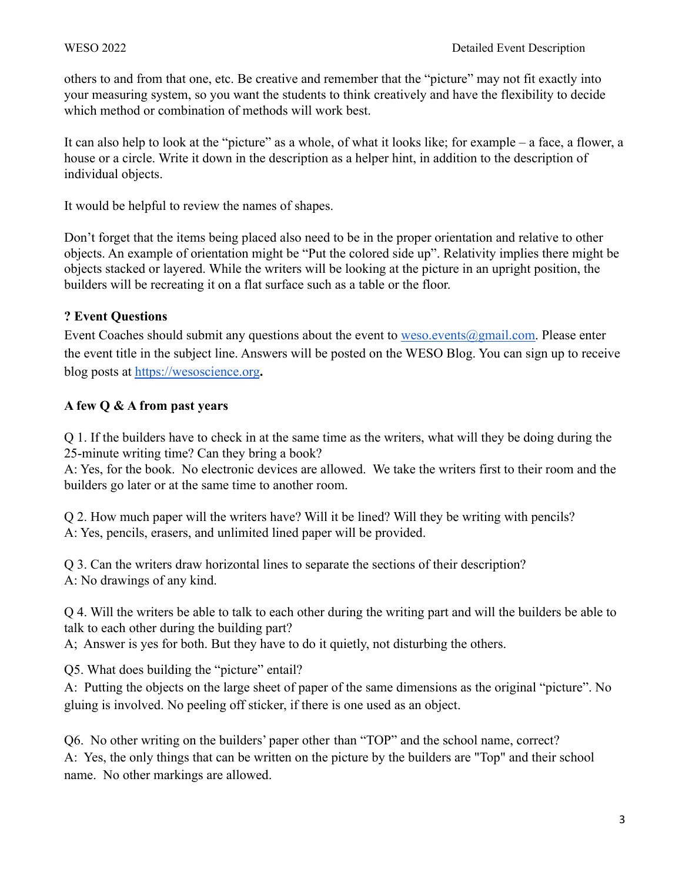others to and from that one, etc. Be creative and remember that the "picture" may not fit exactly into your measuring system, so you want the students to think creatively and have the flexibility to decide which method or combination of methods will work best.

It can also help to look at the "picture" as a whole, of what it looks like; for example – a face, a flower, a house or a circle. Write it down in the description as a helper hint, in addition to the description of individual objects.

It would be helpful to review the names of shapes.

Don't forget that the items being placed also need to be in the proper orientation and relative to other objects. An example of orientation might be "Put the colored side up". Relativity implies there might be objects stacked or layered. While the writers will be looking at the picture in an upright position, the builders will be recreating it on a flat surface such as a table or the floor.

# **? Event Questions**

Event Coaches should submit any questions about the event to [weso.events@gmail.com.](mailto:weso.events@gmail.com) Please enter the event title in the subject line. Answers will be posted on the WESO Blog. You can sign up to receive blog posts at <https://wesoscience.org>**.**

# **A few Q & A from past years**

Q 1. If the builders have to check in at the same time as the writers, what will they be doing during the 25-minute writing time? Can they bring a book?

A: Yes, for the book. No electronic devices are allowed. We take the writers first to their room and the builders go later or at the same time to another room.

Q 2. How much paper will the writers have? Will it be lined? Will they be writing with pencils? A: Yes, pencils, erasers, and unlimited lined paper will be provided.

Q 3. Can the writers draw horizontal lines to separate the sections of their description? A: No drawings of any kind.

Q 4. Will the writers be able to talk to each other during the writing part and will the builders be able to talk to each other during the building part?

A; Answer is yes for both. But they have to do it quietly, not disturbing the others.

Q5. What does building the "picture" entail?

A: Putting the objects on the large sheet of paper of the same dimensions as the original "picture". No gluing is involved. No peeling off sticker, if there is one used as an object.

Q6. No other writing on the builders' paper other than "TOP" and the school name, correct? A: Yes, the only things that can be written on the picture by the builders are "Top" and their school name. No other markings are allowed.